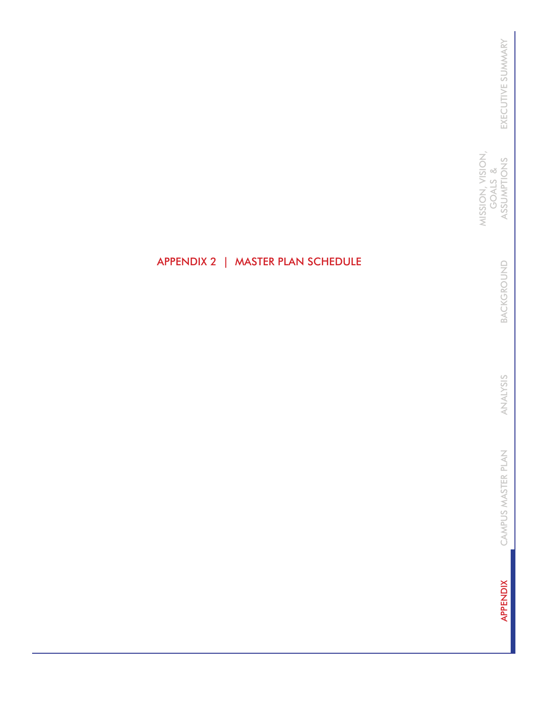MISSION, VISION,<br>GOALS &<br>ASSUMPTIONS MISSION, VISION, ASSUMPTIONS GOALS &

> BACKGROUND BACKGROUND

ANALYSIS ANALYSIS

CAMPUS MASTER PLAN CAMPUS MASTER PLAN

**APPENDIX** APPENDIX

# APPENDIX 2 | MASTER PLAN SCHEDULE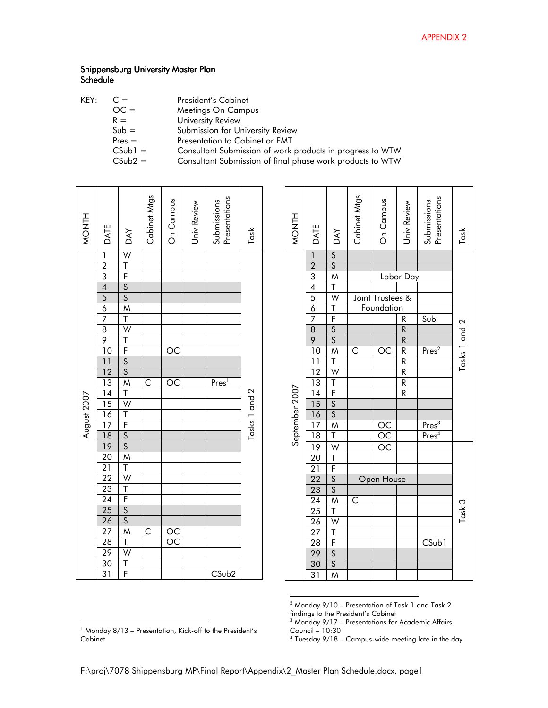| KEY: | $C =$     | President's Cabinet                                       |
|------|-----------|-----------------------------------------------------------|
|      | $OC =$    | Meetings On Campus                                        |
|      | $R =$     | University Review                                         |
|      | $Sub =$   | Submission for University Review                          |
|      | $Pres =$  | Presentation to Cabinet or EMT                            |
|      | $CSub1 =$ | Consultant Submission of work products in progress to WTW |
|      | $CSub2 =$ | Consultant Submission of final phase work products to WTW |
|      |           |                                                           |

| <b>HINOW</b> | DATE                                                                     | <b>DAY</b>                                                                                                                                                                                                                                 | Cabinet Mtgs | On Campus       | Jniv Review | Presentations<br>Submissions | Task          |
|--------------|--------------------------------------------------------------------------|--------------------------------------------------------------------------------------------------------------------------------------------------------------------------------------------------------------------------------------------|--------------|-----------------|-------------|------------------------------|---------------|
|              |                                                                          | <u>W T F S S M T W T F S S M T W T F S S M T W T F S S M T W T F S S M T W T F F S S M T W T F F S S M T W T F F S S M T W T F F S S M T W T F F S S M T W T F F S S M T W T F F F S S M T W T F F F <math>\,</math> F <math>\,</math></u> |              |                 |             |                              |               |
|              |                                                                          |                                                                                                                                                                                                                                            |              |                 |             |                              |               |
|              |                                                                          |                                                                                                                                                                                                                                            |              |                 |             |                              |               |
|              |                                                                          |                                                                                                                                                                                                                                            |              |                 |             |                              |               |
|              |                                                                          |                                                                                                                                                                                                                                            |              |                 |             |                              |               |
|              |                                                                          |                                                                                                                                                                                                                                            |              |                 |             |                              |               |
|              |                                                                          |                                                                                                                                                                                                                                            |              |                 |             |                              |               |
|              |                                                                          |                                                                                                                                                                                                                                            |              |                 |             |                              |               |
|              |                                                                          |                                                                                                                                                                                                                                            |              |                 |             |                              |               |
|              |                                                                          |                                                                                                                                                                                                                                            |              | $\overline{OC}$ |             |                              |               |
|              |                                                                          |                                                                                                                                                                                                                                            |              |                 |             |                              |               |
|              |                                                                          |                                                                                                                                                                                                                                            |              |                 |             |                              |               |
|              |                                                                          |                                                                                                                                                                                                                                            | C            | OC              |             | Pres <sup>1</sup>            |               |
|              |                                                                          |                                                                                                                                                                                                                                            |              |                 |             |                              |               |
| August 2007  |                                                                          |                                                                                                                                                                                                                                            |              |                 |             |                              | Tasks 1 and 2 |
|              |                                                                          |                                                                                                                                                                                                                                            |              |                 |             |                              |               |
|              |                                                                          |                                                                                                                                                                                                                                            |              |                 |             |                              |               |
|              |                                                                          |                                                                                                                                                                                                                                            |              |                 |             |                              |               |
|              |                                                                          |                                                                                                                                                                                                                                            |              |                 |             |                              |               |
|              |                                                                          |                                                                                                                                                                                                                                            |              |                 |             |                              |               |
|              |                                                                          |                                                                                                                                                                                                                                            |              |                 |             |                              |               |
|              |                                                                          |                                                                                                                                                                                                                                            |              |                 |             |                              |               |
|              |                                                                          |                                                                                                                                                                                                                                            |              |                 |             |                              |               |
|              |                                                                          |                                                                                                                                                                                                                                            |              |                 |             |                              |               |
|              |                                                                          |                                                                                                                                                                                                                                            |              |                 |             |                              |               |
|              |                                                                          |                                                                                                                                                                                                                                            |              |                 |             |                              |               |
|              |                                                                          |                                                                                                                                                                                                                                            | Č            |                 |             |                              |               |
|              | <u>  2 3 4 5 6 7 8 9 10 1 12 3 4 5 6 7 8 9 0 1 2 2 3 4 5 6 7 8 9 0 1</u> |                                                                                                                                                                                                                                            |              | $\frac{OC}{OC}$ |             |                              |               |
|              |                                                                          |                                                                                                                                                                                                                                            |              |                 |             |                              |               |
|              |                                                                          |                                                                                                                                                                                                                                            |              |                 |             |                              |               |
|              |                                                                          |                                                                                                                                                                                                                                            |              |                 |             | $C$ Sub2                     |               |

| <sup>1</sup> Monday 8/13 – Presentation, Kick-off to the President's |  |
|----------------------------------------------------------------------|--|
| Cabinet                                                              |  |

|<br>|<br>|

| <b>MONTH</b>   | DATE                                                                                                                                                                                                                                                                                                                  | DAY                                           | Cabinet Mtgs            | On Campus                             | Jniv Review                               | Presentations<br>Submissions          | Task          |
|----------------|-----------------------------------------------------------------------------------------------------------------------------------------------------------------------------------------------------------------------------------------------------------------------------------------------------------------------|-----------------------------------------------|-------------------------|---------------------------------------|-------------------------------------------|---------------------------------------|---------------|
|                |                                                                                                                                                                                                                                                                                                                       |                                               |                         |                                       |                                           |                                       |               |
|                |                                                                                                                                                                                                                                                                                                                       |                                               |                         |                                       |                                           |                                       |               |
|                |                                                                                                                                                                                                                                                                                                                       |                                               |                         |                                       | Labor Day                                 |                                       |               |
|                |                                                                                                                                                                                                                                                                                                                       |                                               |                         |                                       |                                           |                                       |               |
|                |                                                                                                                                                                                                                                                                                                                       |                                               |                         | Joint Trustees &                      |                                           |                                       |               |
|                |                                                                                                                                                                                                                                                                                                                       |                                               |                         | Foundation                            |                                           |                                       |               |
|                |                                                                                                                                                                                                                                                                                                                       |                                               |                         |                                       | R                                         | Sub                                   |               |
|                |                                                                                                                                                                                                                                                                                                                       |                                               |                         |                                       |                                           |                                       | Tasks 1 and 2 |
|                |                                                                                                                                                                                                                                                                                                                       |                                               |                         |                                       |                                           |                                       |               |
|                |                                                                                                                                                                                                                                                                                                                       |                                               | $\overline{\mathsf{C}}$ | ОĆ                                    | $\frac{R}{R}$ $\frac{R}{R}$ $\frac{R}{R}$ | Pres <sup>2</sup>                     |               |
|                |                                                                                                                                                                                                                                                                                                                       |                                               |                         |                                       |                                           |                                       |               |
|                |                                                                                                                                                                                                                                                                                                                       |                                               |                         |                                       |                                           |                                       |               |
|                |                                                                                                                                                                                                                                                                                                                       |                                               |                         |                                       |                                           |                                       |               |
|                |                                                                                                                                                                                                                                                                                                                       |                                               |                         |                                       |                                           |                                       |               |
|                |                                                                                                                                                                                                                                                                                                                       |                                               |                         |                                       |                                           |                                       |               |
|                |                                                                                                                                                                                                                                                                                                                       |                                               |                         |                                       |                                           |                                       |               |
|                |                                                                                                                                                                                                                                                                                                                       |                                               |                         |                                       |                                           |                                       |               |
| September 2007 |                                                                                                                                                                                                                                                                                                                       |                                               |                         |                                       |                                           | $\frac{\text{Pres}^3}{\text{Pres}^4}$ |               |
|                |                                                                                                                                                                                                                                                                                                                       |                                               |                         | $\frac{\overline{OC}}{\overline{OC}}$ |                                           |                                       |               |
|                |                                                                                                                                                                                                                                                                                                                       |                                               |                         |                                       |                                           |                                       |               |
|                |                                                                                                                                                                                                                                                                                                                       |                                               |                         |                                       |                                           |                                       |               |
|                |                                                                                                                                                                                                                                                                                                                       |                                               |                         | Open House                            |                                           |                                       |               |
|                |                                                                                                                                                                                                                                                                                                                       |                                               |                         |                                       |                                           |                                       |               |
|                |                                                                                                                                                                                                                                                                                                                       |                                               | C                       |                                       |                                           |                                       |               |
|                |                                                                                                                                                                                                                                                                                                                       |                                               |                         |                                       |                                           |                                       | Task 3        |
|                |                                                                                                                                                                                                                                                                                                                       |                                               |                         |                                       |                                           |                                       |               |
|                |                                                                                                                                                                                                                                                                                                                       |                                               |                         |                                       |                                           |                                       |               |
|                |                                                                                                                                                                                                                                                                                                                       |                                               |                         |                                       |                                           | CSub1                                 |               |
|                | $\frac{1}{2}$ $\frac{2}{3}$ $\frac{3}{4}$ $\frac{4}{5}$ $\frac{6}{7}$ $\frac{8}{8}$ $\frac{9}{10}$ $\frac{1}{12}$ $\frac{1}{2}$ $\frac{1}{6}$ $\frac{1}{7}$ $\frac{1}{8}$ $\frac{1}{2}$ $\frac{1}{2}$ $\frac{1}{2}$ $\frac{1}{2}$ $\frac{1}{2}$ $\frac{1}{2}$ $\frac{1}{2}$ $\frac{1}{2}$ $\frac{1}{2}$ $\frac{1}{2}$ | <u> s  s  MTWTFSSMTWTFSSMTWTFSSMTWTWTESSM</u> |                         |                                       |                                           |                                       |               |
|                |                                                                                                                                                                                                                                                                                                                       |                                               |                         |                                       |                                           |                                       |               |
|                | $\overline{31}$                                                                                                                                                                                                                                                                                                       |                                               |                         |                                       |                                           |                                       |               |

2 Monday 9/10 – Presentation of Task 1 and Task 2

findings to the President's Cabinet<br><sup>3</sup> Monday 9/17 – Presentations for Academic Affairs Council – 10:30

Tuesday 9/18 – Campus-wide meeting late in the day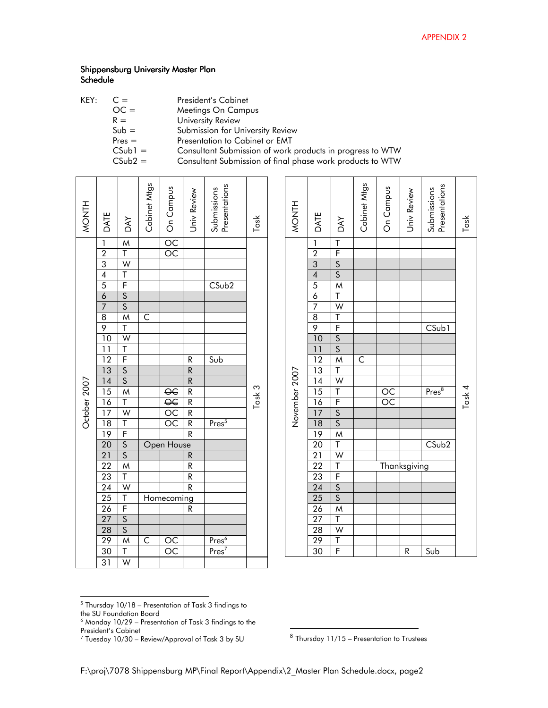| KEY: | $C =$     | <b>President's Cabinet</b>                                |
|------|-----------|-----------------------------------------------------------|
|      | $OC =$    | Meetings On Campus                                        |
|      | $R =$     | University Review                                         |
|      | $Sub =$   | Submission for University Review                          |
|      | $Pres =$  | Presentation to Cabinet or EMT                            |
|      | $CSub1 =$ | Consultant Submission of work products in progress to WTW |
|      | $CSub2 =$ | Consultant Submission of final phase work products to WTW |
|      |           |                                                           |

| MONTH        | DATE                                                                                                                                                                                                                                                                                                                                                      | Cabinet Mtgs            | OCO Campus                            | Jniv Review                     | Presentations<br>Submissions           | Task   |
|--------------|-----------------------------------------------------------------------------------------------------------------------------------------------------------------------------------------------------------------------------------------------------------------------------------------------------------------------------------------------------------|-------------------------|---------------------------------------|---------------------------------|----------------------------------------|--------|
|              |                                                                                                                                                                                                                                                                                                                                                           |                         |                                       |                                 |                                        |        |
|              |                                                                                                                                                                                                                                                                                                                                                           |                         |                                       |                                 |                                        |        |
|              | $\frac{1}{2}$ $\frac{2}{3}$ $\frac{4}{4}$ $\frac{5}{6}$                                                                                                                                                                                                                                                                                                   |                         |                                       |                                 |                                        |        |
|              |                                                                                                                                                                                                                                                                                                                                                           |                         |                                       |                                 |                                        |        |
|              |                                                                                                                                                                                                                                                                                                                                                           |                         |                                       |                                 | CSub2                                  |        |
|              |                                                                                                                                                                                                                                                                                                                                                           |                         |                                       |                                 |                                        |        |
|              | $\overline{7}$                                                                                                                                                                                                                                                                                                                                            |                         |                                       |                                 |                                        |        |
|              | $\overline{8}$                                                                                                                                                                                                                                                                                                                                            | $\overline{\mathsf{C}}$ |                                       |                                 |                                        |        |
|              |                                                                                                                                                                                                                                                                                                                                                           |                         |                                       |                                 |                                        |        |
|              |                                                                                                                                                                                                                                                                                                                                                           |                         |                                       |                                 |                                        |        |
|              |                                                                                                                                                                                                                                                                                                                                                           |                         |                                       |                                 |                                        |        |
|              |                                                                                                                                                                                                                                                                                                                                                           |                         |                                       |                                 | Sub                                    |        |
|              |                                                                                                                                                                                                                                                                                                                                                           |                         |                                       | $R$ $R$ $R$ $R$ $R$ $R$ $R$ $R$ |                                        |        |
| October 2007 |                                                                                                                                                                                                                                                                                                                                                           |                         |                                       |                                 |                                        |        |
|              |                                                                                                                                                                                                                                                                                                                                                           |                         | $\frac{\overline{OC}}{\overline{OC}}$ |                                 |                                        | Task 3 |
|              |                                                                                                                                                                                                                                                                                                                                                           |                         |                                       |                                 |                                        |        |
|              |                                                                                                                                                                                                                                                                                                                                                           |                         |                                       |                                 |                                        |        |
|              |                                                                                                                                                                                                                                                                                                                                                           |                         | $\overline{OC}$                       |                                 | $Pres^5$                               |        |
|              |                                                                                                                                                                                                                                                                                                                                                           |                         |                                       |                                 |                                        |        |
|              |                                                                                                                                                                                                                                                                                                                                                           |                         | Open House                            |                                 |                                        |        |
|              |                                                                                                                                                                                                                                                                                                                                                           |                         |                                       | R                               |                                        |        |
|              |                                                                                                                                                                                                                                                                                                                                                           |                         |                                       |                                 |                                        |        |
|              |                                                                                                                                                                                                                                                                                                                                                           |                         |                                       | $\frac{R}{R}$                   |                                        |        |
|              |                                                                                                                                                                                                                                                                                                                                                           |                         |                                       |                                 |                                        |        |
|              |                                                                                                                                                                                                                                                                                                                                                           |                         | Homecoming                            |                                 |                                        |        |
|              |                                                                                                                                                                                                                                                                                                                                                           |                         |                                       | $\overline{R}$                  |                                        |        |
|              |                                                                                                                                                                                                                                                                                                                                                           |                         |                                       |                                 |                                        |        |
|              |                                                                                                                                                                                                                                                                                                                                                           |                         |                                       |                                 |                                        |        |
|              | $\frac{9}{10} \frac{10}{11} \frac{11}{12} \frac{13}{14} \frac{14}{15} \frac{16}{16} \frac{17}{12} \frac{18}{12} \frac{19}{22} \frac{10}{22} \frac{12}{22} \frac{12}{22} \frac{12}{22} \frac{12}{22} \frac{12}{22} \frac{12}{22} \frac{12}{22} \frac{12}{22} \frac{12}{22} \frac{12}{22} \frac{12}{22} \frac{12}{22} \frac{12}{22} \frac{12}{22} \frac{12$ | $\overline{\mathsf{C}}$ |                                       |                                 | Pres <sup>6</sup><br>Pres <sup>7</sup> |        |
|              | $\overline{30}$                                                                                                                                                                                                                                                                                                                                           |                         | $\frac{OC}{OC}$                       |                                 |                                        |        |
|              | $\overline{31}$                                                                                                                                                                                                                                                                                                                                           |                         |                                       |                                 |                                        |        |

| <b>HINOW</b>  | DATE                                                                                                                                                                                                                                                                                                                  | <b>DAY</b>                                 | Cabinet Mtgs   | On Campus                             | Univ Review         | Presentations<br>Submissions | Task   |
|---------------|-----------------------------------------------------------------------------------------------------------------------------------------------------------------------------------------------------------------------------------------------------------------------------------------------------------------------|--------------------------------------------|----------------|---------------------------------------|---------------------|------------------------------|--------|
|               |                                                                                                                                                                                                                                                                                                                       |                                            |                |                                       |                     |                              |        |
|               |                                                                                                                                                                                                                                                                                                                       |                                            |                |                                       |                     |                              |        |
|               |                                                                                                                                                                                                                                                                                                                       |                                            |                |                                       |                     |                              |        |
|               |                                                                                                                                                                                                                                                                                                                       |                                            |                |                                       |                     |                              |        |
|               |                                                                                                                                                                                                                                                                                                                       |                                            |                |                                       |                     |                              |        |
|               |                                                                                                                                                                                                                                                                                                                       |                                            |                |                                       |                     |                              |        |
|               |                                                                                                                                                                                                                                                                                                                       |                                            |                |                                       |                     |                              |        |
|               |                                                                                                                                                                                                                                                                                                                       |                                            |                |                                       |                     |                              |        |
|               |                                                                                                                                                                                                                                                                                                                       |                                            |                |                                       |                     | CSub1                        |        |
|               |                                                                                                                                                                                                                                                                                                                       |                                            |                |                                       |                     |                              |        |
|               |                                                                                                                                                                                                                                                                                                                       |                                            |                |                                       |                     |                              |        |
|               |                                                                                                                                                                                                                                                                                                                       |                                            | $\overline{C}$ |                                       |                     |                              |        |
|               |                                                                                                                                                                                                                                                                                                                       |                                            |                |                                       |                     |                              |        |
|               |                                                                                                                                                                                                                                                                                                                       |                                            |                |                                       |                     |                              |        |
| November 2007 |                                                                                                                                                                                                                                                                                                                       |                                            |                | $\frac{\overline{OC}}{\overline{OC}}$ |                     | Pres <sup>8</sup>            | Task 4 |
|               |                                                                                                                                                                                                                                                                                                                       |                                            |                |                                       |                     |                              |        |
|               |                                                                                                                                                                                                                                                                                                                       |                                            |                |                                       |                     |                              |        |
|               |                                                                                                                                                                                                                                                                                                                       |                                            |                |                                       |                     |                              |        |
|               |                                                                                                                                                                                                                                                                                                                       |                                            |                |                                       |                     |                              |        |
|               |                                                                                                                                                                                                                                                                                                                       |                                            |                |                                       |                     | $\overline{\text{CSub2}}$    |        |
|               |                                                                                                                                                                                                                                                                                                                       |                                            |                |                                       |                     |                              |        |
|               |                                                                                                                                                                                                                                                                                                                       |                                            |                |                                       | <b>Thanksgiving</b> |                              |        |
|               |                                                                                                                                                                                                                                                                                                                       |                                            |                |                                       |                     |                              |        |
|               |                                                                                                                                                                                                                                                                                                                       |                                            |                |                                       |                     |                              |        |
|               |                                                                                                                                                                                                                                                                                                                       |                                            |                |                                       |                     |                              |        |
|               |                                                                                                                                                                                                                                                                                                                       |                                            |                |                                       |                     |                              |        |
|               |                                                                                                                                                                                                                                                                                                                       |                                            |                |                                       |                     |                              |        |
|               |                                                                                                                                                                                                                                                                                                                       |                                            |                |                                       |                     |                              |        |
|               | $\frac{1}{2}$ $\frac{2}{3}$ $\frac{3}{4}$ $\frac{4}{5}$ $\frac{6}{7}$ $\frac{8}{9}$ $\frac{9}{10}$ $\frac{1}{12}$ $\frac{1}{2}$ $\frac{1}{3}$ $\frac{1}{6}$ $\frac{1}{7}$ $\frac{1}{8}$ $\frac{1}{7}$ $\frac{1}{8}$ $\frac{1}{7}$ $\frac{1}{8}$ $\frac{1}{7}$ $\frac{1}{8}$ $\frac{1}{7}$ $\frac{1}{8}$ $\frac{1}{7}$ | TFSSMTWTFSSMTWTFSSMTWT  S  SMT      SSMTWT |                |                                       |                     |                              |        |
|               |                                                                                                                                                                                                                                                                                                                       |                                            |                |                                       | R                   | $\overline{\mathsf{Sub}}$    |        |

 5 Thursday 10/18 – Presentation of Task 3 findings to the SU Foundation Board

Monday 10/29 – Presentation of Task 3 findings to the

President's Cabinet

Tuesday 10/30 – Review/Approval of Task 3 by SU

 8 Thursday 11/15 – Presentation to Trustees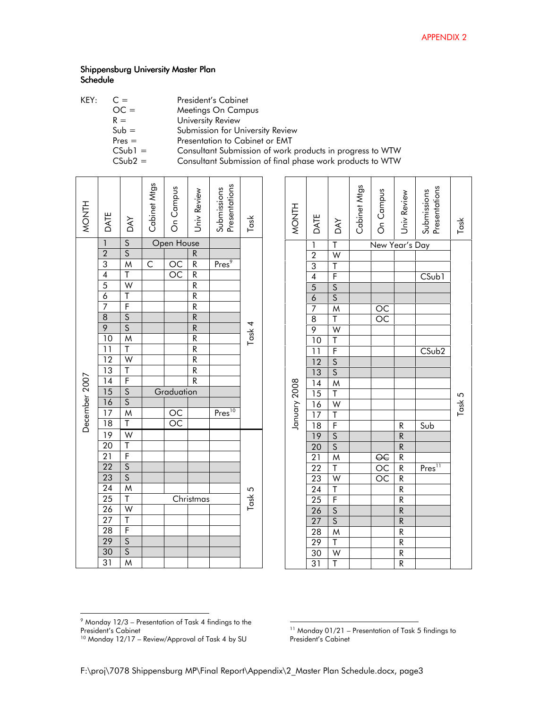| KEY: | President's Cabinet |  |  |
|------|---------------------|--|--|
|      |                     |  |  |

| $OC =$               | Meetings On Campus               |
|----------------------|----------------------------------|
| $R =$                | University Review                |
| $Sub =$              | Submission for University Review |
| $Pres =$             | Presentation to Cabinet or EMT   |
| $\sim$ $\sim$ $\sim$ |                                  |

CSub1 = Consultant Submission of work products in progress to WTW

CSub2 = Consultant Submission of final phase work products to WTW

| <b>MONTH</b>  | DATE                                                                                                                                                                                                                                                                                      | DAY                                                                                                             |                 |                                                                                 | Presentations<br>Submissions    | Task   |
|---------------|-------------------------------------------------------------------------------------------------------------------------------------------------------------------------------------------------------------------------------------------------------------------------------------------|-----------------------------------------------------------------------------------------------------------------|-----------------|---------------------------------------------------------------------------------|---------------------------------|--------|
|               |                                                                                                                                                                                                                                                                                           |                                                                                                                 |                 |                                                                                 |                                 |        |
|               |                                                                                                                                                                                                                                                                                           |                                                                                                                 |                 |                                                                                 |                                 |        |
|               |                                                                                                                                                                                                                                                                                           |                                                                                                                 |                 | $\frac{R}{R}\frac{R}{R}\frac{R}{R}\frac{R}{R}\frac{R}{R}\frac{R}{R}\frac{R}{R}$ | Pres <sup>9</sup>               |        |
|               |                                                                                                                                                                                                                                                                                           |                                                                                                                 |                 |                                                                                 |                                 |        |
|               |                                                                                                                                                                                                                                                                                           |                                                                                                                 |                 |                                                                                 |                                 |        |
|               |                                                                                                                                                                                                                                                                                           |                                                                                                                 |                 |                                                                                 |                                 |        |
|               |                                                                                                                                                                                                                                                                                           |                                                                                                                 |                 |                                                                                 |                                 |        |
|               |                                                                                                                                                                                                                                                                                           |                                                                                                                 |                 |                                                                                 |                                 |        |
|               |                                                                                                                                                                                                                                                                                           |                                                                                                                 |                 |                                                                                 |                                 | Task 4 |
|               |                                                                                                                                                                                                                                                                                           |                                                                                                                 |                 |                                                                                 |                                 |        |
|               |                                                                                                                                                                                                                                                                                           |                                                                                                                 |                 |                                                                                 |                                 |        |
|               |                                                                                                                                                                                                                                                                                           |                                                                                                                 |                 |                                                                                 |                                 |        |
|               |                                                                                                                                                                                                                                                                                           |                                                                                                                 |                 |                                                                                 |                                 |        |
| December 2007 |                                                                                                                                                                                                                                                                                           |                                                                                                                 |                 | $\overline{\mathsf{R}}$                                                         |                                 |        |
|               |                                                                                                                                                                                                                                                                                           |                                                                                                                 | Graduation      |                                                                                 |                                 |        |
|               |                                                                                                                                                                                                                                                                                           |                                                                                                                 |                 |                                                                                 |                                 |        |
|               |                                                                                                                                                                                                                                                                                           |                                                                                                                 |                 |                                                                                 | $\overline{\mathrm{Pres}^{10}}$ |        |
|               |                                                                                                                                                                                                                                                                                           |                                                                                                                 | $\frac{OC}{OC}$ |                                                                                 |                                 |        |
|               |                                                                                                                                                                                                                                                                                           |                                                                                                                 |                 |                                                                                 |                                 |        |
|               |                                                                                                                                                                                                                                                                                           |                                                                                                                 |                 |                                                                                 |                                 |        |
|               |                                                                                                                                                                                                                                                                                           |                                                                                                                 |                 |                                                                                 |                                 |        |
|               |                                                                                                                                                                                                                                                                                           |                                                                                                                 |                 |                                                                                 |                                 |        |
|               |                                                                                                                                                                                                                                                                                           |                                                                                                                 |                 |                                                                                 |                                 |        |
|               |                                                                                                                                                                                                                                                                                           |                                                                                                                 |                 |                                                                                 |                                 | Task 5 |
|               |                                                                                                                                                                                                                                                                                           |                                                                                                                 |                 | Christmas                                                                       |                                 |        |
|               |                                                                                                                                                                                                                                                                                           |                                                                                                                 |                 |                                                                                 |                                 |        |
|               |                                                                                                                                                                                                                                                                                           |                                                                                                                 |                 |                                                                                 |                                 |        |
|               |                                                                                                                                                                                                                                                                                           |                                                                                                                 |                 |                                                                                 |                                 |        |
|               | $\frac{1}{2}$ $\frac{2}{3}$ $\frac{3}{4}$ $\frac{4}{5}$ $\frac{6}{7}$ $\frac{8}{9}$ $\frac{9}{10}$ $\frac{1}{12}$ $\frac{1}{3}$ $\frac{1}{4}$ $\frac{1}{5}$ $\frac{1}{6}$ $\frac{1}{7}$ $\frac{1}{8}$ $\frac{1}{2}$ $\frac{1}{2}$ $\frac{1}{2}$ $\frac{1}{2}$ $\frac{1}{2}$ $\frac{1}{2}$ | S _S_M_T_W_T__F__S__S_M_T__W_T___F____S__S__M_T__W__T___F_____S__S_M_T__W__T__F____S__S_M_T__W__T__F____S__S_M_ |                 |                                                                                 |                                 |        |
|               |                                                                                                                                                                                                                                                                                           |                                                                                                                 |                 |                                                                                 |                                 |        |
|               |                                                                                                                                                                                                                                                                                           |                                                                                                                 |                 |                                                                                 |                                 |        |

| <b>MONTH</b> | DATE                                                                                                                                                                                                                                                                                                     | <b>DAY</b> | Cabinet Mtgs | On Campus                             | Univ Review   | Presentations<br>Submissions | Task   |
|--------------|----------------------------------------------------------------------------------------------------------------------------------------------------------------------------------------------------------------------------------------------------------------------------------------------------------|------------|--------------|---------------------------------------|---------------|------------------------------|--------|
|              |                                                                                                                                                                                                                                                                                                          |            |              | New Year's Day                        |               |                              |        |
|              |                                                                                                                                                                                                                                                                                                          |            |              |                                       |               |                              |        |
|              |                                                                                                                                                                                                                                                                                                          |            |              |                                       |               |                              |        |
|              |                                                                                                                                                                                                                                                                                                          |            |              |                                       |               | $C$ Sub1                     |        |
|              |                                                                                                                                                                                                                                                                                                          |            |              |                                       |               |                              |        |
|              |                                                                                                                                                                                                                                                                                                          |            |              |                                       |               |                              |        |
|              |                                                                                                                                                                                                                                                                                                          |            |              | $\frac{OC}{OC}$                       |               |                              |        |
|              |                                                                                                                                                                                                                                                                                                          |            |              |                                       |               |                              |        |
|              |                                                                                                                                                                                                                                                                                                          |            |              |                                       |               |                              |        |
|              |                                                                                                                                                                                                                                                                                                          |            |              |                                       |               |                              |        |
|              |                                                                                                                                                                                                                                                                                                          |            |              |                                       |               | $\overline{\text{CSub2}}$    |        |
|              |                                                                                                                                                                                                                                                                                                          |            |              |                                       |               |                              |        |
|              |                                                                                                                                                                                                                                                                                                          |            |              |                                       |               |                              |        |
|              |                                                                                                                                                                                                                                                                                                          |            |              |                                       |               |                              |        |
|              |                                                                                                                                                                                                                                                                                                          |            |              |                                       |               |                              | Task 5 |
|              |                                                                                                                                                                                                                                                                                                          |            |              |                                       |               |                              |        |
|              |                                                                                                                                                                                                                                                                                                          |            |              |                                       |               |                              |        |
| January 2008 |                                                                                                                                                                                                                                                                                                          |            |              |                                       |               | Sub                          |        |
|              |                                                                                                                                                                                                                                                                                                          |            |              |                                       |               |                              |        |
|              |                                                                                                                                                                                                                                                                                                          |            |              |                                       | $\frac{R}{R}$ |                              |        |
|              |                                                                                                                                                                                                                                                                                                          |            |              | $\frac{\overline{OC}}{\overline{OC}}$ |               |                              |        |
|              |                                                                                                                                                                                                                                                                                                          |            |              |                                       |               | Pres <sup>11</sup>           |        |
|              |                                                                                                                                                                                                                                                                                                          |            |              |                                       |               |                              |        |
|              |                                                                                                                                                                                                                                                                                                          |            |              |                                       |               |                              |        |
|              |                                                                                                                                                                                                                                                                                                          |            |              |                                       |               |                              |        |
|              |                                                                                                                                                                                                                                                                                                          |            |              |                                       |               |                              |        |
|              | $\frac{1}{2\cdot 3}$ 4 $\frac{4}{5\cdot 6}$ 7 $\frac{8}{9}$ $\frac{9}{10}$ 1 $\frac{1}{12}$ $\frac{13}{14}$ $\frac{16}{12}$ $\frac{17}{18}$ $\frac{19}{12}$ $\frac{12}{2}$ $\frac{2}{2}$ $\frac{2}{3}$ $\frac{2}{4}$ $\frac{2}{5}$ $\frac{2}{6}$ $\frac{7}{7}$ $\frac{8}{8}$ $\frac{9}{3}$ $\frac{1}{3}$ |            |              |                                       |               |                              |        |
|              |                                                                                                                                                                                                                                                                                                          |            |              |                                       |               |                              |        |
|              |                                                                                                                                                                                                                                                                                                          |            |              |                                       |               |                              |        |
|              |                                                                                                                                                                                                                                                                                                          |            |              |                                       |               |                              |        |
|              |                                                                                                                                                                                                                                                                                                          |            |              |                                       |               |                              |        |

 9 Monday 12/3 – Presentation of Task 4 findings to the

President's Cabinet <sup>10</sup> Monday 12/17 – Review/Approval of Task 4 by SU

<sup>-</sup> Monday 01/21 – Presentation of Task 5 findings to President's Cabinet